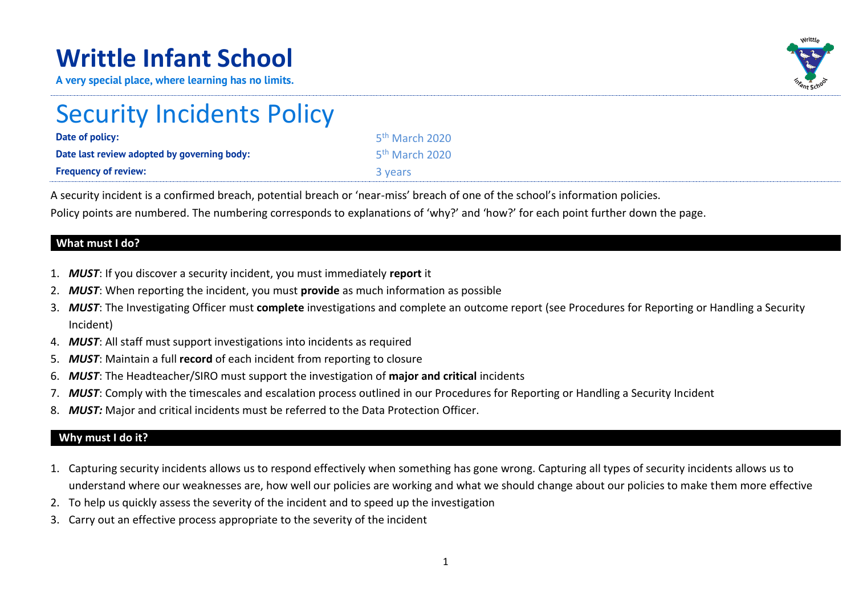## **Writtle Infant School**

**A very special place, where learning has no limits.**



# Security Incidents Policy

| Date of policy:                             | 5 <sup>th</sup> March 2020 |
|---------------------------------------------|----------------------------|
| Date last review adopted by governing body: | 5 <sup>th</sup> March 2020 |
| <b>Frequency of review:</b>                 | 3 years                    |

A security incident is a confirmed breach, potential breach or 'near-miss' breach of one of the school's information policies.

Policy points are numbered. The numbering corresponds to explanations of 'why?' and 'how?' for each point further down the page.

#### **What must I do?**

- 1. *MUST*: If you discover a security incident, you must immediately **report** it
- 2. *MUST*: When reporting the incident, you must **provide** as much information as possible
- 3. *MUST*: The Investigating Officer must **complete** investigations and complete an outcome report (see Procedures for Reporting or Handling a Security Incident)
- 4. *MUST*: All staff must support investigations into incidents as required
- 5. *MUST*: Maintain a full **record** of each incident from reporting to closure
- 6. *MUST*: The Headteacher/SIRO must support the investigation of **major and critical** incidents
- 7. *MUST*: Comply with the timescales and escalation process outlined in our Procedures for Reporting or Handling a Security Incident
- 8. *MUST:* Major and critical incidents must be referred to the Data Protection Officer.

#### **Why must I do it?**

- 1. Capturing security incidents allows us to respond effectively when something has gone wrong. Capturing all types of security incidents allows us to understand where our weaknesses are, how well our policies are working and what we should change about our policies to make them more effective
- 2. To help us quickly assess the severity of the incident and to speed up the investigation
- 3. Carry out an effective process appropriate to the severity of the incident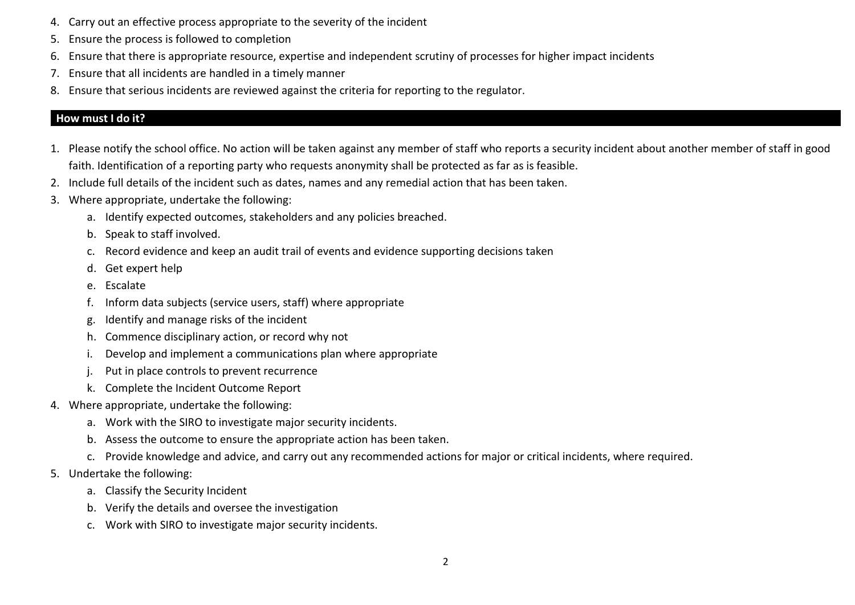- 4. Carry out an effective process appropriate to the severity of the incident
- 5. Ensure the process is followed to completion
- 6. Ensure that there is appropriate resource, expertise and independent scrutiny of processes for higher impact incidents
- 7. Ensure that all incidents are handled in a timely manner
- 8. Ensure that serious incidents are reviewed against the criteria for reporting to the regulator.

#### **How must I do it?**

- 1. Please notify the school office. No action will be taken against any member of staff who reports a security incident about another member of staff in good faith. Identification of a reporting party who requests anonymity shall be protected as far as is feasible.
- 2. Include full details of the incident such as dates, names and any remedial action that has been taken.
- 3. Where appropriate, undertake the following:
	- a. Identify expected outcomes, stakeholders and any policies breached.
	- b. Speak to staff involved.
	- c. Record evidence and keep an audit trail of events and evidence supporting decisions taken
	- d. Get expert help
	- e. Escalate
	- f. Inform data subjects (service users, staff) where appropriate
	- g. Identify and manage risks of the incident
	- h. Commence disciplinary action, or record why not
	- i. Develop and implement a communications plan where appropriate
	- j. Put in place controls to prevent recurrence
	- k. Complete the Incident Outcome Report
- 4. Where appropriate, undertake the following:
	- a. Work with the SIRO to investigate major security incidents.
	- b. Assess the outcome to ensure the appropriate action has been taken.
	- c. Provide knowledge and advice, and carry out any recommended actions for major or critical incidents, where required.
- 5. Undertake the following:
	- a. Classify the Security Incident
	- b. Verify the details and oversee the investigation
	- c. Work with SIRO to investigate major security incidents.